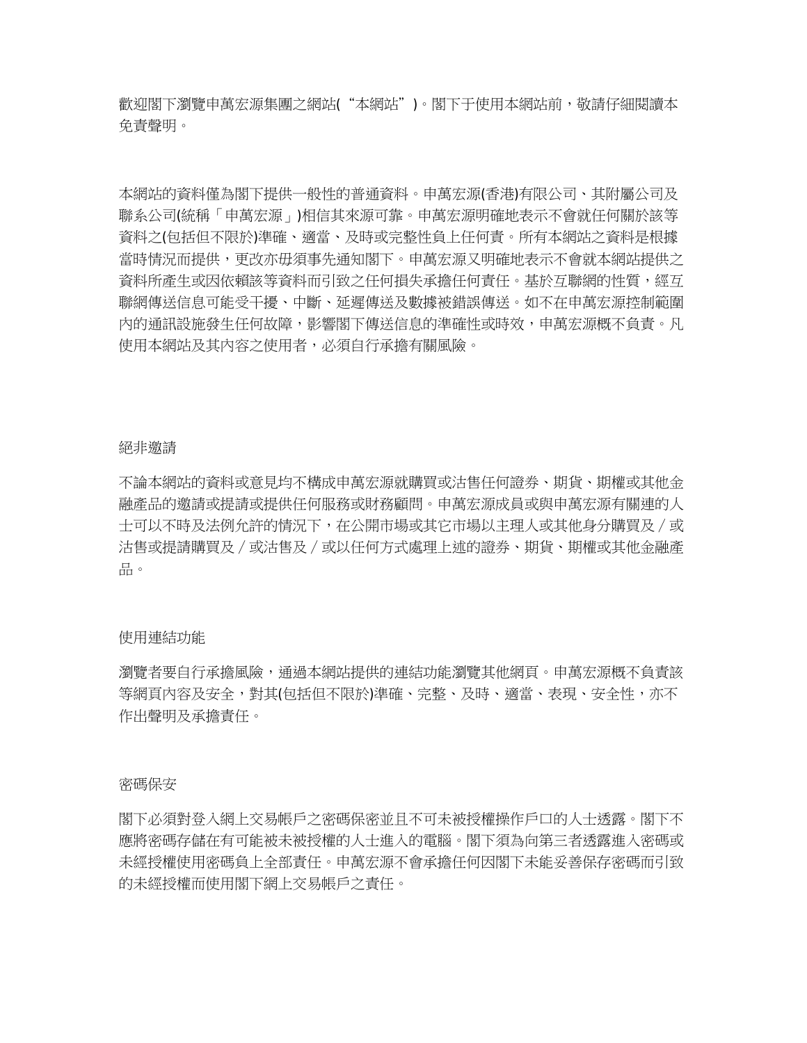歡迎閣下瀏覽申萬宏源集團之網站("本網站")。閣下于使用本網站前,敬請仔細閱讀本 免責聲明。

本網站的資料僅為閣下提供一般性的普通資料。申萬宏源(香港)有限公司、其附屬公司及 聯系公司(統稱「申萬宏源」)相信其來源可靠。申萬宏源明確地表示不會就任何關於該等 資料之(包括但不限於)準確、適當、及時或完整性負上任何責。所有本網站之資料是根據 當時情況而提供,更改亦毋須事先通知閣下。申萬宏源又明確地表示不會就本網站提供之 資料所產生或因依賴該等資料而引致之任何損失承擔任何責任。基於互聯網的性質,經互 聯網傳送信息可能受干擾、中斷、延遲傳送及數據被錯誤傳送。如不在申萬宏源控制範圍 內的通訊設施發生任何故障,影響閣下傳送信息的準確性或時效,申萬宏源概不負責。凡 使用本網站及其內容之使用者,必須自行承擔有關風險。

#### 絕非邀請

不論本網站的資料或意見均不構成申萬宏源就購買或沽售任何證券、期貨、期權或其他金 融產品的邀請或提請或提供任何服務或財務顧問。申萬宏源成員或與申萬宏源有關連的人 士可以不時及法例允許的情況下,在公開市場或其它市場以主理人或其他身分購買及∕或 沽售或提請購買及∕或沽售及∕或以任何方式處理上述的證券、期貨、期權或其他金融產 品。

## 使用連結功能

瀏覽者要自行承擔風險,通過本網站提供的連結功能瀏覽其他網頁。申萬宏源概不負責該 等網頁內容及安全,對其(包括但不限於)準確、完整、及時、適當、表現、安全性,亦不 作出聲明及承擔責任。

### 密碼保安

閣下必須對登入網上交易帳戶之密碼保密並且不可未被授權操作戶口的人士透露。閣下不 應將密碼存儲在有可能被未被授權的人士進入的電腦。閣下須為向第三者透露進入密碼或 未經授權使用密碼負上全部責任。申萬宏源不會承擔任何因閣下未能妥善保存密碼而引致 的未經授權而使用閣下網上交易帳戶之責任。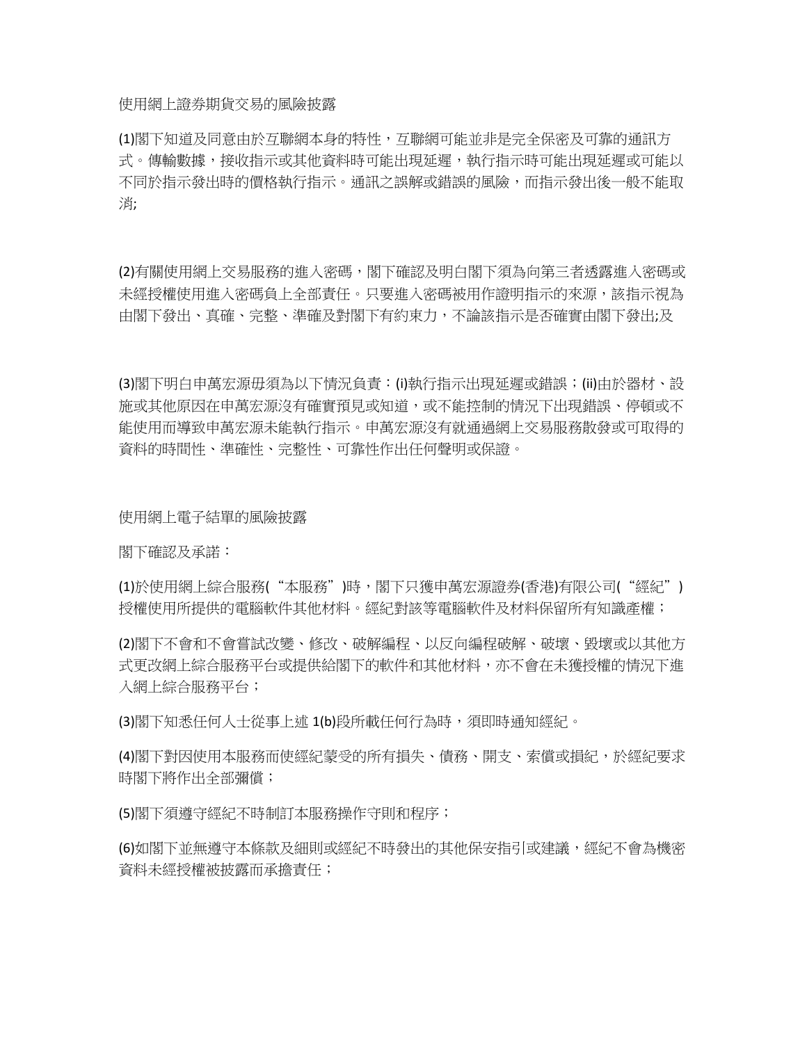使用網上證券期貨交易的風險披露

(1)閣下知道及同意由於互聯網本身的特性,互聯網可能並非是完全保密及可靠的通訊方 式。傳輸數據,接收指示或其他資料時可能出現延遲,執行指示時可能出現延遲或可能以 不同於指示發出時的價格執行指示。通訊之誤解或錯誤的風險,而指示發出後一般不能取 消;

(2)有關使用網上交易服務的進入密碼,閣下確認及明白閣下須為向第三者透露進入密碼或 未經授權使用進入密碼負上全部責任。只要進入密碼被用作證明指示的來源,該指示視為 由閣下發出、真確、完整、準確及對閣下有約束力,不論該指示是否確實由閣下發出;及

(3)閣下明白申萬宏源毋須為以下情況負責:(i)執行指示出現延遲或錯誤;(ii)由於器材、設 施或其他原因在申萬宏源沒有確實預見或知道,或不能控制的情況下出現錯誤、停頓或不 能使用而導致申萬宏源未能執行指示。申萬宏源沒有就通過網上交易服務散發或可取得的 資料的時間性、準確性、完整性、可靠性作出任何聲明或保證。

使用網上電子結單的風險披露

閣下確認及承諾:

(1)於使用網上綜合服務("本服務")時,閣下只獲申萬宏源證券(香港)有限公司("經紀") 授權使用所提供的電腦軟件其他材料。經紀對該等電腦軟件及材料保留所有知識產權;

(2)閣下不會和不會嘗試改變、修改、破解編程、以反向編程破解、破壞、毀壞或以其他方 式更改網上綜合服務平台或提供給閣下的軟件和其他材料,亦不會在未獲授權的情況下進 入網上綜合服務平台;

(3)閣下知悉任何人士從事上述 1(b)段所載任何行為時,須即時通知經紀。

(4)閣下對因使用本服務而使經紀蒙受的所有損失、債務、開支、索償或損紀,於經紀要求 時閣下將作出全部彌償;

(5)閣下須遵守經紀不時制訂本服務操作守則和程序;

(6)如閣下並無遵守本條款及細則或經紀不時發出的其他保安指引或建議,經紀不會為機密 資料未經授權被披露而承擔責任;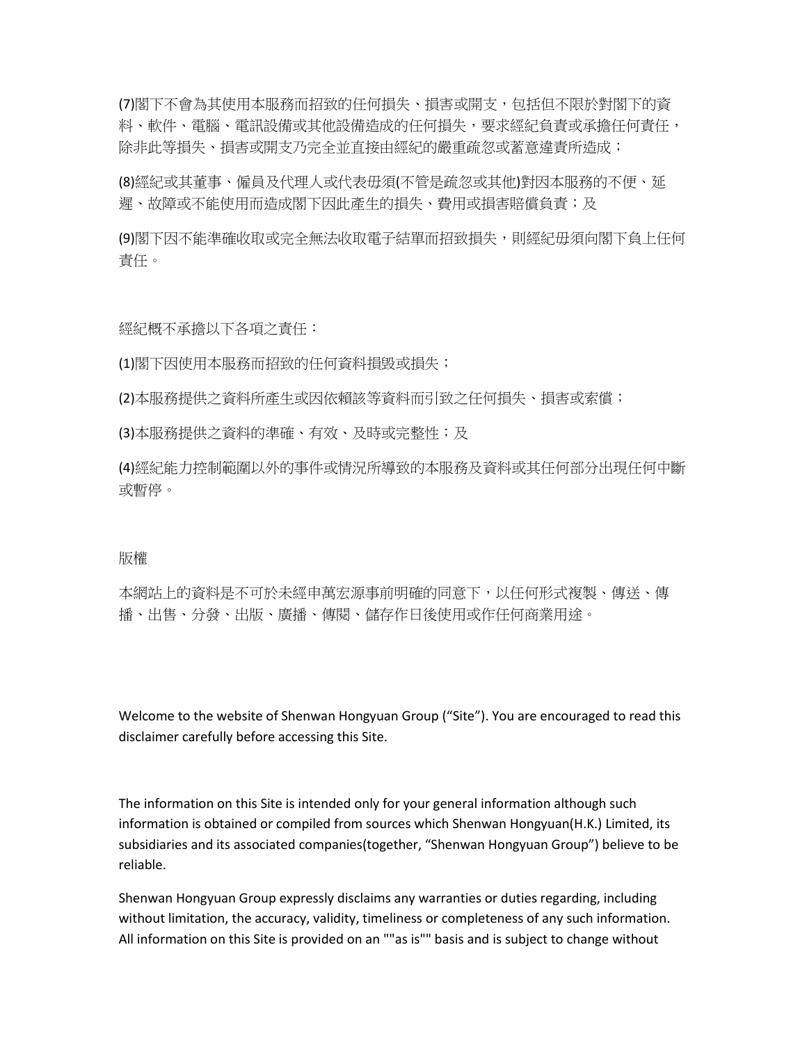(7)閣下不會為其使用本服務而招致的任何損失、損害或開支,包括但不限於對閣下的資 料、軟件、電腦、電訊設備或其他設備造成的任何損失,要求經紀負責或承擔任何責任, 除非此等損失、損害或開支乃完全並直接由經紀的嚴重疏忽或蓄意違責所造成;

(8)經紀或其董事、僱員及代理人或代表毋須(不管是疏忽或其他)對因本服務的不便、延 遲、故障或不能使用而造成閣下因此產生的損失、費用或損害賠償負責;及

(9)閣下因不能準確收取或完全無法收取電子結單而招致損失,則經紀毋須向閣下負上任何 責任。

經紀概不承擔以下各項之責任:

(1)閣下因使用本服務而招致的任何資料損毁或損失;

(2)本服務提供之資料所產生或因依賴該等資料而引致之任何損失、損害或索償;

(3)本服務提供之資料的準確、有效、及時或完整性;及

(4)經紀能力控制範圍以外的事件或情況所導致的本服務及資料或其任何部分出現任何中斷 或暫停。

# 版權

本網站上的資料是不可於未經申萬宏源事前明確的同意下,以任何形式複製、傳送、傳 播、出售、分發、出版、廣播、傳閱、儲存作日後使用或作任何商業用途。

Welcome to the website of Shenwan Hongyuan Group ("Site"). You are encouraged to read this disclaimer carefully before accessing this Site.

The information on this Site is intended only for your general information although such information is obtained or compiled from sources which Shenwan Hongyuan(H.K.) Limited, its subsidiaries and its associated companies(together, "Shenwan Hongyuan Group") believe to be reliable.

Shenwan Hongyuan Group expressly disclaims any warranties or duties regarding, including without limitation, the accuracy, validity, timeliness or completeness of any such information. All information on this Site is provided on an ""as is"" basis and is subject to change without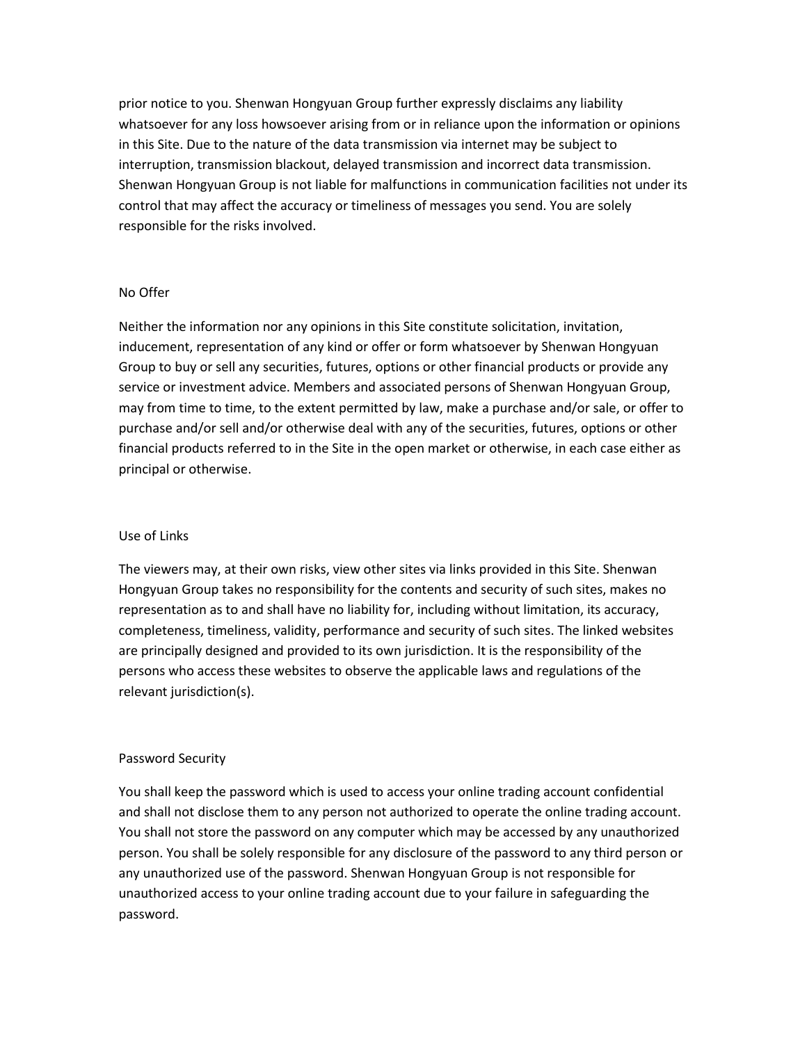prior notice to you. Shenwan Hongyuan Group further expressly disclaims any liability whatsoever for any loss howsoever arising from or in reliance upon the information or opinions in this Site. Due to the nature of the data transmission via internet may be subject to interruption, transmission blackout, delayed transmission and incorrect data transmission. Shenwan Hongyuan Group is not liable for malfunctions in communication facilities not under its control that may affect the accuracy or timeliness of messages you send. You are solely responsible for the risks involved.

### No Offer

Neither the information nor any opinions in this Site constitute solicitation, invitation, inducement, representation of any kind or offer or form whatsoever by Shenwan Hongyuan Group to buy or sell any securities, futures, options or other financial products or provide any service or investment advice. Members and associated persons of Shenwan Hongyuan Group, may from time to time, to the extent permitted by law, make a purchase and/or sale, or offer to purchase and/or sell and/or otherwise deal with any of the securities, futures, options or other financial products referred to in the Site in the open market or otherwise, in each case either as principal or otherwise.

### Use of Links

The viewers may, at their own risks, view other sites via links provided in this Site. Shenwan Hongyuan Group takes no responsibility for the contents and security of such sites, makes no representation as to and shall have no liability for, including without limitation, its accuracy, completeness, timeliness, validity, performance and security of such sites. The linked websites are principally designed and provided to its own jurisdiction. It is the responsibility of the persons who access these websites to observe the applicable laws and regulations of the relevant jurisdiction(s).

### Password Security

You shall keep the password which is used to access your online trading account confidential and shall not disclose them to any person not authorized to operate the online trading account. You shall not store the password on any computer which may be accessed by any unauthorized person. You shall be solely responsible for any disclosure of the password to any third person or any unauthorized use of the password. Shenwan Hongyuan Group is not responsible for unauthorized access to your online trading account due to your failure in safeguarding the password.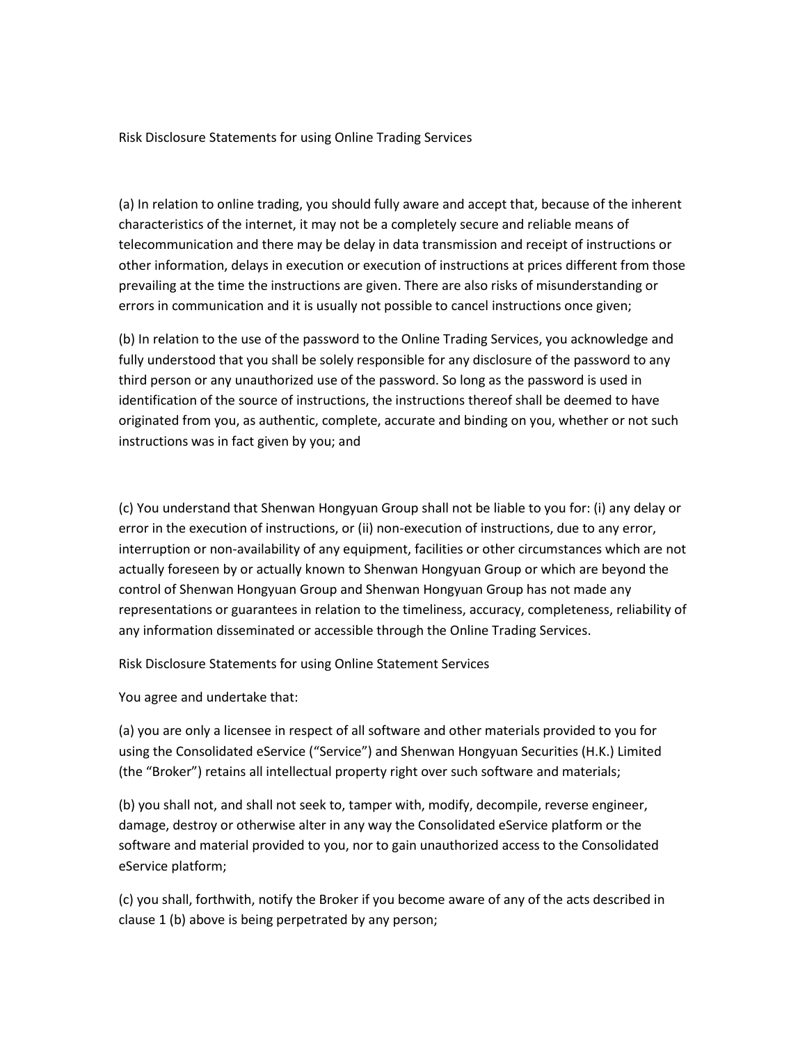Risk Disclosure Statements for using Online Trading Services

(a) In relation to online trading, you should fully aware and accept that, because of the inherent characteristics of the internet, it may not be a completely secure and reliable means of telecommunication and there may be delay in data transmission and receipt of instructions or other information, delays in execution or execution of instructions at prices different from those prevailing at the time the instructions are given. There are also risks of misunderstanding or errors in communication and it is usually not possible to cancel instructions once given;

(b) In relation to the use of the password to the Online Trading Services, you acknowledge and fully understood that you shall be solely responsible for any disclosure of the password to any third person or any unauthorized use of the password. So long as the password is used in identification of the source of instructions, the instructions thereof shall be deemed to have originated from you, as authentic, complete, accurate and binding on you, whether or not such instructions was in fact given by you; and

(c) You understand that Shenwan Hongyuan Group shall not be liable to you for: (i) any delay or error in the execution of instructions, or (ii) non-execution of instructions, due to any error, interruption or non-availability of any equipment, facilities or other circumstances which are not actually foreseen by or actually known to Shenwan Hongyuan Group or which are beyond the control of Shenwan Hongyuan Group and Shenwan Hongyuan Group has not made any representations or guarantees in relation to the timeliness, accuracy, completeness, reliability of any information disseminated or accessible through the Online Trading Services.

Risk Disclosure Statements for using Online Statement Services

You agree and undertake that:

(a) you are only a licensee in respect of all software and other materials provided to you for using the Consolidated eService ("Service") and Shenwan Hongyuan Securities (H.K.) Limited (the "Broker") retains all intellectual property right over such software and materials;

(b) you shall not, and shall not seek to, tamper with, modify, decompile, reverse engineer, damage, destroy or otherwise alter in any way the Consolidated eService platform or the software and material provided to you, nor to gain unauthorized access to the Consolidated eService platform;

(c) you shall, forthwith, notify the Broker if you become aware of any of the acts described in clause 1 (b) above is being perpetrated by any person;